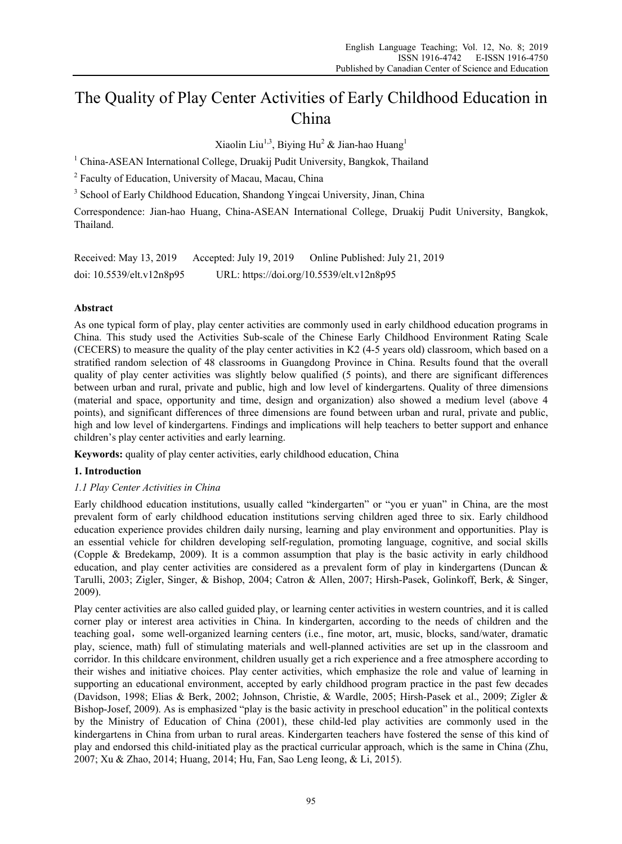# The Quality of Play Center Activities of Early Childhood Education in China

Xiaolin Liu<sup>1,3</sup>, Biying Hu<sup>2</sup> & Jian-hao Huang<sup>1</sup>

<sup>1</sup> China-ASEAN International College, Druakij Pudit University, Bangkok, Thailand

<sup>2</sup> Faculty of Education, University of Macau, Macau, China

<sup>3</sup> School of Early Childhood Education, Shandong Yingcai University, Jinan, China

Correspondence: Jian-hao Huang, China-ASEAN International College, Druakij Pudit University, Bangkok, Thailand.

| Received: May 13, 2019    | Accepted: July 19, 2019 | Online Published: July 21, 2019           |
|---------------------------|-------------------------|-------------------------------------------|
| doi: 10.5539/elt.v12n8p95 |                         | URL: https://doi.org/10.5539/elt.v12n8p95 |

# **Abstract**

As one typical form of play, play center activities are commonly used in early childhood education programs in China. This study used the Activities Sub-scale of the Chinese Early Childhood Environment Rating Scale (CECERS) to measure the quality of the play center activities in K2 (4-5 years old) classroom, which based on a stratified random selection of 48 classrooms in Guangdong Province in China. Results found that the overall quality of play center activities was slightly below qualified (5 points), and there are significant differences between urban and rural, private and public, high and low level of kindergartens. Quality of three dimensions (material and space, opportunity and time, design and organization) also showed a medium level (above 4 points), and significant differences of three dimensions are found between urban and rural, private and public, high and low level of kindergartens. Findings and implications will help teachers to better support and enhance children's play center activities and early learning.

**Keywords:** quality of play center activities, early childhood education, China

# **1. Introduction**

# *1.1 Play Center Activities in China*

Early childhood education institutions, usually called "kindergarten" or "you er yuan" in China, are the most prevalent form of early childhood education institutions serving children aged three to six. Early childhood education experience provides children daily nursing, learning and play environment and opportunities. Play is an essential vehicle for children developing self-regulation, promoting language, cognitive, and social skills (Copple & Bredekamp, 2009). It is a common assumption that play is the basic activity in early childhood education, and play center activities are considered as a prevalent form of play in kindergartens (Duncan & Tarulli, 2003; Zigler, Singer, & Bishop, 2004; Catron & Allen, 2007; Hirsh-Pasek, Golinkoff, Berk, & Singer, 2009).

Play center activities are also called guided play, or learning center activities in western countries, and it is called corner play or interest area activities in China. In kindergarten, according to the needs of children and the teaching goal, some well-organized learning centers (i.e., fine motor, art, music, blocks, sand/water, dramatic play, science, math) full of stimulating materials and well-planned activities are set up in the classroom and corridor. In this childcare environment, children usually get a rich experience and a free atmosphere according to their wishes and initiative choices. Play center activities, which emphasize the role and value of learning in supporting an educational environment, accepted by early childhood program practice in the past few decades (Davidson, 1998; Elias & Berk, 2002; Johnson, Christie, & Wardle, 2005; Hirsh-Pasek et al., 2009; Zigler & Bishop-Josef, 2009). As is emphasized "play is the basic activity in preschool education" in the political contexts by the Ministry of Education of China (2001), these child-led play activities are commonly used in the kindergartens in China from urban to rural areas. Kindergarten teachers have fostered the sense of this kind of play and endorsed this child-initiated play as the practical curricular approach, which is the same in China (Zhu, 2007; Xu & Zhao, 2014; Huang, 2014; Hu, Fan, Sao Leng Ieong, & Li, 2015).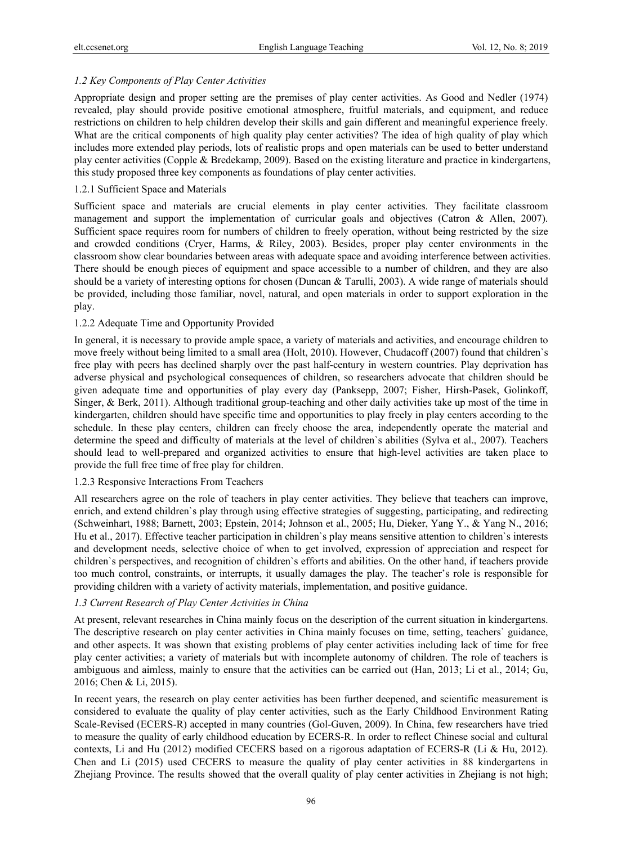# *1.2 Key Components of Play Center Activities*

Appropriate design and proper setting are the premises of play center activities. As Good and Nedler (1974) revealed, play should provide positive emotional atmosphere, fruitful materials, and equipment, and reduce restrictions on children to help children develop their skills and gain different and meaningful experience freely. What are the critical components of high quality play center activities? The idea of high quality of play which includes more extended play periods, lots of realistic props and open materials can be used to better understand play center activities (Copple & Bredekamp, 2009). Based on the existing literature and practice in kindergartens, this study proposed three key components as foundations of play center activities.

#### 1.2.1 Sufficient Space and Materials

Sufficient space and materials are crucial elements in play center activities. They facilitate classroom management and support the implementation of curricular goals and objectives (Catron & Allen, 2007). Sufficient space requires room for numbers of children to freely operation, without being restricted by the size and crowded conditions (Cryer, Harms, & Riley, 2003). Besides, proper play center environments in the classroom show clear boundaries between areas with adequate space and avoiding interference between activities. There should be enough pieces of equipment and space accessible to a number of children, and they are also should be a variety of interesting options for chosen (Duncan & Tarulli, 2003). A wide range of materials should be provided, including those familiar, novel, natural, and open materials in order to support exploration in the play.

#### 1.2.2 Adequate Time and Opportunity Provided

In general, it is necessary to provide ample space, a variety of materials and activities, and encourage children to move freely without being limited to a small area (Holt, 2010). However, Chudacoff (2007) found that children`s free play with peers has declined sharply over the past half-century in western countries. Play deprivation has adverse physical and psychological consequences of children, so researchers advocate that children should be given adequate time and opportunities of play every day (Panksepp, 2007; Fisher, Hirsh-Pasek, Golinkoff, Singer, & Berk, 2011). Although traditional group-teaching and other daily activities take up most of the time in kindergarten, children should have specific time and opportunities to play freely in play centers according to the schedule. In these play centers, children can freely choose the area, independently operate the material and determine the speed and difficulty of materials at the level of children`s abilities (Sylva et al., 2007). Teachers should lead to well-prepared and organized activities to ensure that high-level activities are taken place to provide the full free time of free play for children.

# 1.2.3 Responsive Interactions From Teachers

All researchers agree on the role of teachers in play center activities. They believe that teachers can improve, enrich, and extend children`s play through using effective strategies of suggesting, participating, and redirecting (Schweinhart, 1988; Barnett, 2003; Epstein, 2014; Johnson et al., 2005; Hu, Dieker, Yang Y., & Yang N., 2016; Hu et al., 2017). Effective teacher participation in children`s play means sensitive attention to children`s interests and development needs, selective choice of when to get involved, expression of appreciation and respect for children`s perspectives, and recognition of children`s efforts and abilities. On the other hand, if teachers provide too much control, constraints, or interrupts, it usually damages the play. The teacher's role is responsible for providing children with a variety of activity materials, implementation, and positive guidance.

# *1.3 Current Research of Play Center Activities in China*

At present, relevant researches in China mainly focus on the description of the current situation in kindergartens. The descriptive research on play center activities in China mainly focuses on time, setting, teachers` guidance, and other aspects. It was shown that existing problems of play center activities including lack of time for free play center activities; a variety of materials but with incomplete autonomy of children. The role of teachers is ambiguous and aimless, mainly to ensure that the activities can be carried out (Han, 2013; Li et al., 2014; Gu, 2016; Chen & Li, 2015).

In recent years, the research on play center activities has been further deepened, and scientific measurement is considered to evaluate the quality of play center activities, such as the Early Childhood Environment Rating Scale-Revised (ECERS-R) accepted in many countries (Gol-Guven, 2009). In China, few researchers have tried to measure the quality of early childhood education by ECERS-R. In order to reflect Chinese social and cultural contexts, Li and Hu (2012) modified CECERS based on a rigorous adaptation of ECERS-R (Li & Hu, 2012). Chen and Li (2015) used CECERS to measure the quality of play center activities in 88 kindergartens in Zhejiang Province. The results showed that the overall quality of play center activities in Zhejiang is not high;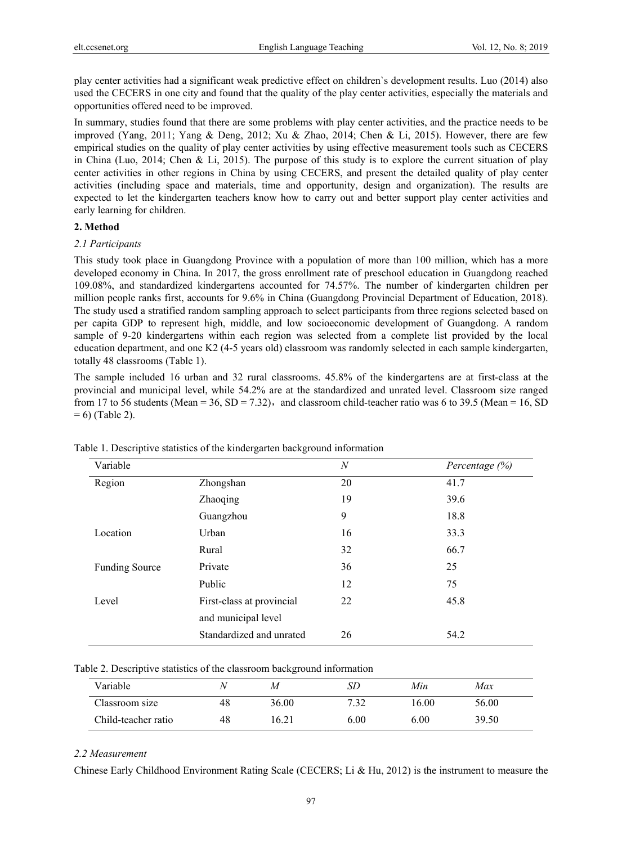play center activities had a significant weak predictive effect on children`s development results. Luo (2014) also used the CECERS in one city and found that the quality of the play center activities, especially the materials and opportunities offered need to be improved.

In summary, studies found that there are some problems with play center activities, and the practice needs to be improved (Yang, 2011; Yang & Deng, 2012; Xu & Zhao, 2014; Chen & Li, 2015). However, there are few empirical studies on the quality of play center activities by using effective measurement tools such as CECERS in China (Luo, 2014; Chen & Li, 2015). The purpose of this study is to explore the current situation of play center activities in other regions in China by using CECERS, and present the detailed quality of play center activities (including space and materials, time and opportunity, design and organization). The results are expected to let the kindergarten teachers know how to carry out and better support play center activities and early learning for children.

## **2. Method**

#### *2.1 Participants*

This study took place in Guangdong Province with a population of more than 100 million, which has a more developed economy in China. In 2017, the gross enrollment rate of preschool education in Guangdong reached 109.08%, and standardized kindergartens accounted for 74.57%. The number of kindergarten children per million people ranks first, accounts for 9.6% in China (Guangdong Provincial Department of Education, 2018). The study used a stratified random sampling approach to select participants from three regions selected based on per capita GDP to represent high, middle, and low socioeconomic development of Guangdong. A random sample of 9-20 kindergartens within each region was selected from a complete list provided by the local education department, and one K2 (4-5 years old) classroom was randomly selected in each sample kindergarten, totally 48 classrooms (Table 1).

The sample included 16 urban and 32 rural classrooms. 45.8% of the kindergartens are at first-class at the provincial and municipal level, while 54.2% are at the standardized and unrated level. Classroom size ranged from 17 to 56 students (Mean = 36, SD = 7.32), and classroom child-teacher ratio was 6 to 39.5 (Mean = 16, SD  $= 6$ ) (Table 2).

| Variable              |                           | N  | Percentage $(\%)$ |
|-----------------------|---------------------------|----|-------------------|
| Region                | Zhongshan                 | 20 | 41.7              |
|                       | Zhaoqing                  | 19 | 39.6              |
|                       | Guangzhou                 | 9  | 18.8              |
| Location              | Urban                     | 16 | 33.3              |
|                       | Rural                     | 32 | 66.7              |
| <b>Funding Source</b> | Private                   | 36 | 25                |
|                       | Public                    | 12 | 75                |
| Level                 | First-class at provincial | 22 | 45.8              |
|                       | and municipal level       |    |                   |
|                       | Standardized and unrated  | 26 | 54.2              |

Table 1. Descriptive statistics of the kindergarten background information

| Table 2. Descriptive statistics of the classroom background information |  |  |
|-------------------------------------------------------------------------|--|--|
|                                                                         |  |  |

| Variable            |    | М     | SЕ   | Min   | Max   |  |
|---------------------|----|-------|------|-------|-------|--|
| Classroom size      | 48 | 36.00 | 7.32 | 16.00 | 56.00 |  |
| Child-teacher ratio | 48 | .6.21 | 6.00 | 6.00  | 39.50 |  |

# *2.2 Measurement*

Chinese Early Childhood Environment Rating Scale (CECERS; Li & Hu, 2012) is the instrument to measure the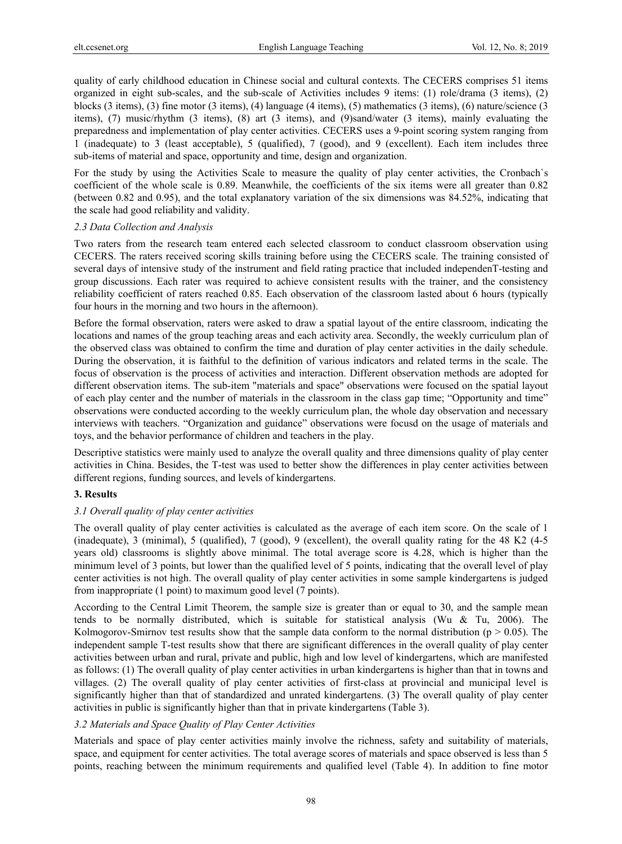quality of early childhood education in Chinese social and cultural contexts. The CECERS comprises 51 items organized in eight sub-scales, and the sub-scale of Activities includes 9 items: (1) role/drama (3 items), (2) blocks (3 items), (3) fine motor (3 items), (4) language (4 items), (5) mathematics (3 items), (6) nature/science (3 items), (7) music/rhythm (3 items), (8) art (3 items), and (9)sand/water (3 items), mainly evaluating the preparedness and implementation of play center activities. CECERS uses a 9-point scoring system ranging from 1 (inadequate) to 3 (least acceptable), 5 (qualified), 7 (good), and 9 (excellent). Each item includes three sub-items of material and space, opportunity and time, design and organization.

For the study by using the Activities Scale to measure the quality of play center activities, the Cronbach`s coefficient of the whole scale is 0.89. Meanwhile, the coefficients of the six items were all greater than 0.82 (between 0.82 and 0.95), and the total explanatory variation of the six dimensions was 84.52%, indicating that the scale had good reliability and validity.

#### *2.3 Data Collection and Analysis*

Two raters from the research team entered each selected classroom to conduct classroom observation using CECERS. The raters received scoring skills training before using the CECERS scale. The training consisted of several days of intensive study of the instrument and field rating practice that included independenT-testing and group discussions. Each rater was required to achieve consistent results with the trainer, and the consistency reliability coefficient of raters reached 0.85. Each observation of the classroom lasted about 6 hours (typically four hours in the morning and two hours in the afternoon).

Before the formal observation, raters were asked to draw a spatial layout of the entire classroom, indicating the locations and names of the group teaching areas and each activity area. Secondly, the weekly curriculum plan of the observed class was obtained to confirm the time and duration of play center activities in the daily schedule. During the observation, it is faithful to the definition of various indicators and related terms in the scale. The focus of observation is the process of activities and interaction. Different observation methods are adopted for different observation items. The sub-item "materials and space" observations were focused on the spatial layout of each play center and the number of materials in the classroom in the class gap time; "Opportunity and time" observations were conducted according to the weekly curriculum plan, the whole day observation and necessary interviews with teachers. "Organization and guidance" observations were focusd on the usage of materials and toys, and the behavior performance of children and teachers in the play.

Descriptive statistics were mainly used to analyze the overall quality and three dimensions quality of play center activities in China. Besides, the T-test was used to better show the differences in play center activities between different regions, funding sources, and levels of kindergartens.

# **3. Results**

# *3.1 Overall quality of play center activities*

The overall quality of play center activities is calculated as the average of each item score. On the scale of 1 (inadequate), 3 (minimal), 5 (qualified), 7 (good), 9 (excellent), the overall quality rating for the 48 K2 (4-5 years old) classrooms is slightly above minimal. The total average score is 4.28, which is higher than the minimum level of 3 points, but lower than the qualified level of 5 points, indicating that the overall level of play center activities is not high. The overall quality of play center activities in some sample kindergartens is judged from inappropriate (1 point) to maximum good level (7 points).

According to the Central Limit Theorem, the sample size is greater than or equal to 30, and the sample mean tends to be normally distributed, which is suitable for statistical analysis (Wu & Tu, 2006). The Kolmogorov-Smirnov test results show that the sample data conform to the normal distribution ( $p > 0.05$ ). The independent sample T-test results show that there are significant differences in the overall quality of play center activities between urban and rural, private and public, high and low level of kindergartens, which are manifested as follows: (1) The overall quality of play center activities in urban kindergartens is higher than that in towns and villages. (2) The overall quality of play center activities of first-class at provincial and municipal level is significantly higher than that of standardized and unrated kindergartens. (3) The overall quality of play center activities in public is significantly higher than that in private kindergartens (Table 3).

# *3.2 Materials and Space Quality of Play Center Activities*

Materials and space of play center activities mainly involve the richness, safety and suitability of materials, space, and equipment for center activities. The total average scores of materials and space observed is less than 5 points, reaching between the minimum requirements and qualified level (Table 4). In addition to fine motor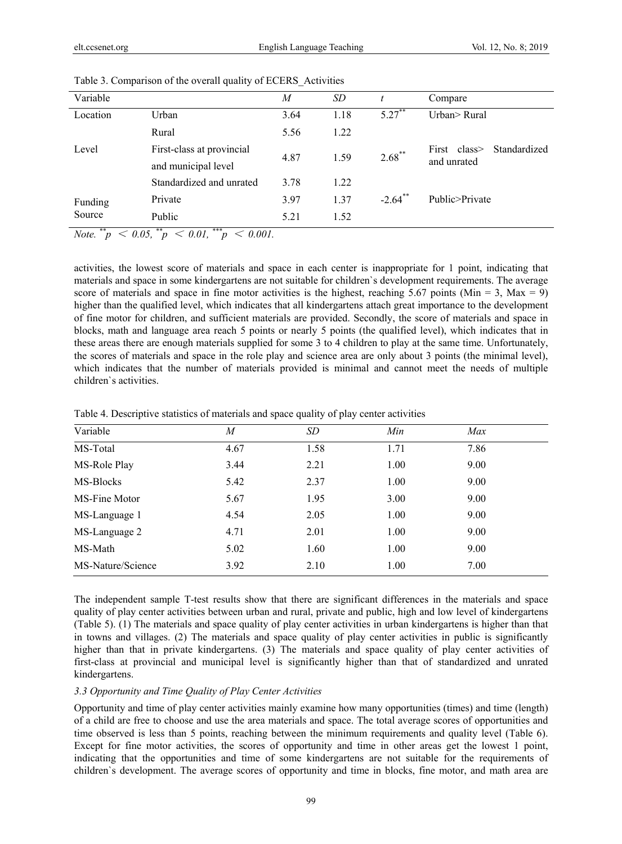| Variable                                |                                                 | M    | SD   |                       | Compare                                      |
|-----------------------------------------|-------------------------------------------------|------|------|-----------------------|----------------------------------------------|
| Location                                | Urban                                           | 3.64 | 1.18 | $5.27$ **             | Urban> Rural                                 |
|                                         | Rural                                           | 5.56 | 1.22 |                       |                                              |
| Level                                   | First-class at provincial                       | 4.87 | 1.59 | $2.68***$             | Standardized<br>First $class$<br>and unrated |
|                                         | and municipal level<br>Standardized and unrated | 3.78 | 1.22 |                       |                                              |
|                                         | Private                                         | 3.97 | 1.37 | $-2.64$ <sup>**</sup> | Public>Private                               |
| Funding<br>Source                       | Public                                          | 5.21 | 1.52 |                       |                                              |
| **<br>$\sim$ 0.0 $\sim$<br>$\mathbf{r}$ | ***<br>**<br>$\sim$ 0.01<br>$\sim$ 0.01         |      |      |                       |                                              |

Table 3. Comparison of the overall quality of ECERS\_Activities

*Note.*  $\ddot{p}$  < 0.05,  $\ddot{p}$  < 0.01,  $\ddot{p}$  < 0.001.

activities, the lowest score of materials and space in each center is inappropriate for 1 point, indicating that materials and space in some kindergartens are not suitable for children`s development requirements. The average score of materials and space in fine motor activities is the highest, reaching 5.67 points (Min = 3, Max = 9) higher than the qualified level, which indicates that all kindergartens attach great importance to the development of fine motor for children, and sufficient materials are provided. Secondly, the score of materials and space in blocks, math and language area reach 5 points or nearly 5 points (the qualified level), which indicates that in these areas there are enough materials supplied for some 3 to 4 children to play at the same time. Unfortunately, the scores of materials and space in the role play and science area are only about 3 points (the minimal level), which indicates that the number of materials provided is minimal and cannot meet the needs of multiple children`s activities.

| Variable          | M    | SD   | Min  | Max  |  |
|-------------------|------|------|------|------|--|
| MS-Total          | 4.67 | 1.58 | 1.71 | 7.86 |  |
| MS-Role Play      | 3.44 | 2.21 | 1.00 | 9.00 |  |
| MS-Blocks         | 5.42 | 2.37 | 1.00 | 9.00 |  |
| MS-Fine Motor     | 5.67 | 1.95 | 3.00 | 9.00 |  |
| MS-Language 1     | 4.54 | 2.05 | 1.00 | 9.00 |  |
| MS-Language 2     | 4.71 | 2.01 | 1.00 | 9.00 |  |
| MS-Math           | 5.02 | 1.60 | 1.00 | 9.00 |  |
| MS-Nature/Science | 3.92 | 2.10 | 1.00 | 7.00 |  |

Table 4. Descriptive statistics of materials and space quality of play center activities

The independent sample T-test results show that there are significant differences in the materials and space quality of play center activities between urban and rural, private and public, high and low level of kindergartens (Table 5). (1) The materials and space quality of play center activities in urban kindergartens is higher than that in towns and villages. (2) The materials and space quality of play center activities in public is significantly higher than that in private kindergartens. (3) The materials and space quality of play center activities of first-class at provincial and municipal level is significantly higher than that of standardized and unrated kindergartens.

#### *3.3 Opportunity and Time Quality of Play Center Activities*

Opportunity and time of play center activities mainly examine how many opportunities (times) and time (length) of a child are free to choose and use the area materials and space. The total average scores of opportunities and time observed is less than 5 points, reaching between the minimum requirements and quality level (Table 6). Except for fine motor activities, the scores of opportunity and time in other areas get the lowest 1 point, indicating that the opportunities and time of some kindergartens are not suitable for the requirements of children`s development. The average scores of opportunity and time in blocks, fine motor, and math area are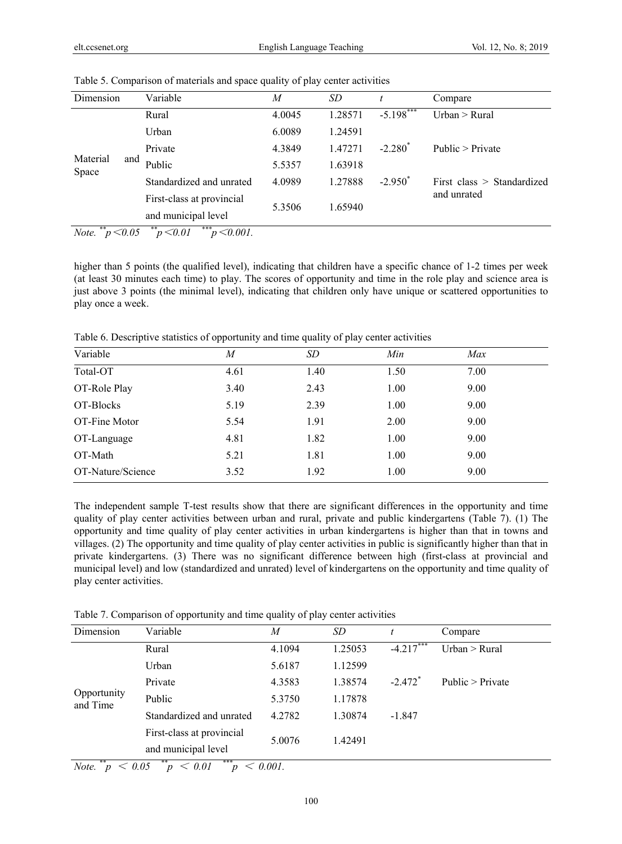| Dimension                |   | Variable                  | M      | SD      |              | Compare                      |
|--------------------------|---|---------------------------|--------|---------|--------------|------------------------------|
|                          |   | Rural                     | 4.0045 | 1.28571 | $-5.198$ *** | Urban > Rural                |
|                          |   | Urban                     | 6.0089 | 1.24591 |              |                              |
|                          |   | Private                   | 4.3849 | 1.47271 | $-2.280^*$   | Public $>$ Private           |
| Material<br>and<br>Space |   | Public                    | 5.5357 | 1.63918 |              |                              |
|                          |   | Standardized and unrated  | 4.0989 | 1.27888 | $-2.950^*$   | First class $>$ Standardized |
|                          |   | First-class at provincial |        |         |              | and unrated                  |
|                          |   | and municipal level       | 5.3506 | 1.65940 |              |                              |
| **                       | . | **<br>***<br>.            |        |         |              |                              |

Table 5. Comparison of materials and space quality of play center activities

*Note.*  $\binom{m}{p}$  < 0.05  $\binom{m}{p}$  < 0.01  $\binom{m}{p}$  < 0.001.

higher than 5 points (the qualified level), indicating that children have a specific chance of 1-2 times per week (at least 30 minutes each time) to play. The scores of opportunity and time in the role play and science area is just above 3 points (the minimal level), indicating that children only have unique or scattered opportunities to play once a week.

Table 6. Descriptive statistics of opportunity and time quality of play center activities

| Variable          | M    | SD   | Min  | Max  |  |
|-------------------|------|------|------|------|--|
| Total-OT          | 4.61 | 1.40 | 1.50 | 7.00 |  |
| OT-Role Play      | 3.40 | 2.43 | 1.00 | 9.00 |  |
| OT-Blocks         | 5.19 | 2.39 | 1.00 | 9.00 |  |
| OT-Fine Motor     | 5.54 | 1.91 | 2.00 | 9.00 |  |
| OT-Language       | 4.81 | 1.82 | 1.00 | 9.00 |  |
| OT-Math           | 5.21 | 1.81 | 1.00 | 9.00 |  |
| OT-Nature/Science | 3.52 | 1.92 | 1.00 | 9.00 |  |

The independent sample T-test results show that there are significant differences in the opportunity and time quality of play center activities between urban and rural, private and public kindergartens (Table 7). (1) The opportunity and time quality of play center activities in urban kindergartens is higher than that in towns and villages. (2) The opportunity and time quality of play center activities in public is significantly higher than that in private kindergartens. (3) There was no significant difference between high (first-class at provincial and municipal level) and low (standardized and unrated) level of kindergartens on the opportunity and time quality of play center activities.

Table 7. Comparison of opportunity and time quality of play center activities

| Variable                  | M      | SD      |                       | Compare            |
|---------------------------|--------|---------|-----------------------|--------------------|
| Rural                     | 4.1094 | 1.25053 | $-4.217***$           | Urban $>$ Rural    |
| Urban                     | 5.6187 | 1.12599 |                       |                    |
| Private                   | 4.3583 | 1.38574 | $-2.472$ <sup>*</sup> | Public $>$ Private |
| Public                    | 5.3750 | 1.17878 |                       |                    |
| Standardized and unrated  | 4.2782 | 1.30874 | $-1.847$              |                    |
| First-class at provincial |        |         |                       |                    |
| and municipal level       |        |         |                       |                    |
|                           |        | 5.0076  | 1.42491               |                    |

*Note.*  $*^{*}p < 0.05$   $*^{*}p < 0.01$   $*^{*}p < 0.001$ .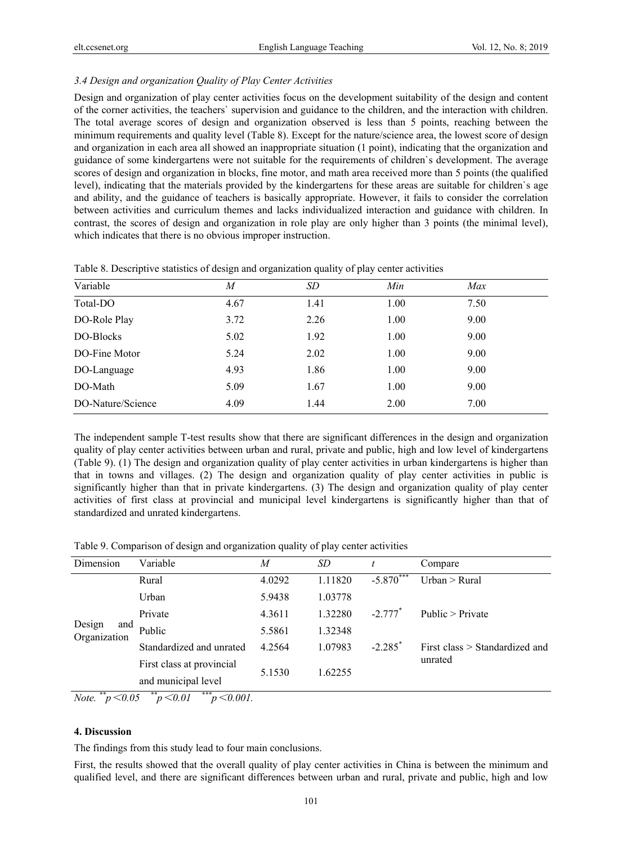## *3.4 Design and organization Quality of Play Center Activities*

Design and organization of play center activities focus on the development suitability of the design and content of the corner activities, the teachers` supervision and guidance to the children, and the interaction with children. The total average scores of design and organization observed is less than 5 points, reaching between the minimum requirements and quality level (Table 8). Except for the nature/science area, the lowest score of design and organization in each area all showed an inappropriate situation (1 point), indicating that the organization and guidance of some kindergartens were not suitable for the requirements of children`s development. The average scores of design and organization in blocks, fine motor, and math area received more than 5 points (the qualified level), indicating that the materials provided by the kindergartens for these areas are suitable for children`s age and ability, and the guidance of teachers is basically appropriate. However, it fails to consider the correlation between activities and curriculum themes and lacks individualized interaction and guidance with children. In contrast, the scores of design and organization in role play are only higher than 3 points (the minimal level), which indicates that there is no obvious improper instruction.

| Variable          | M    | SD   | Min  | Max  |  |
|-------------------|------|------|------|------|--|
| Total-DO          | 4.67 | 1.41 | 1.00 | 7.50 |  |
| DO-Role Play      | 3.72 | 2.26 | 1.00 | 9.00 |  |
| DO-Blocks         | 5.02 | 1.92 | 1.00 | 9.00 |  |
| DO-Fine Motor     | 5.24 | 2.02 | 1.00 | 9.00 |  |
| DO-Language       | 4.93 | 1.86 | 1.00 | 9.00 |  |
| DO-Math           | 5.09 | 1.67 | 1.00 | 9.00 |  |
| DO-Nature/Science | 4.09 | 1.44 | 2.00 | 7.00 |  |

Table 8. Descriptive statistics of design and organization quality of play center activities

The independent sample T-test results show that there are significant differences in the design and organization quality of play center activities between urban and rural, private and public, high and low level of kindergartens (Table 9). (1) The design and organization quality of play center activities in urban kindergartens is higher than that in towns and villages. (2) The design and organization quality of play center activities in public is significantly higher than that in private kindergartens. (3) The design and organization quality of play center activities of first class at provincial and municipal level kindergartens is significantly higher than that of standardized and unrated kindergartens.

Table 9. Comparison of design and organization quality of play center activities

| Dimension                     | Variable                         | M      | SD      |                       | Compare                        |
|-------------------------------|----------------------------------|--------|---------|-----------------------|--------------------------------|
| Design<br>and<br>Organization | Rural                            | 4.0292 | 1.11820 | $-5.870***$           | Urban > Rural                  |
|                               | Urban                            | 5.9438 | 1.03778 |                       |                                |
|                               | Private                          | 4.3611 | 1.32280 | $-2.777$ <sup>*</sup> | Public > Private               |
|                               | Public                           | 5.5861 | 1.32348 |                       |                                |
|                               | Standardized and unrated         | 4.2564 | 1.07983 | $-2.285$ <sup>*</sup> | First class > Standardized and |
|                               | First class at provincial        |        |         |                       | unrated                        |
|                               | and municipal level              | 5.1530 | 1.62255 |                       |                                |
| Note.<br>p < 0.05             | ***<br>p < 0.01<br>$p < 0.001$ . |        |         |                       |                                |

# **4. Discussion**

The findings from this study lead to four main conclusions.

First, the results showed that the overall quality of play center activities in China is between the minimum and qualified level, and there are significant differences between urban and rural, private and public, high and low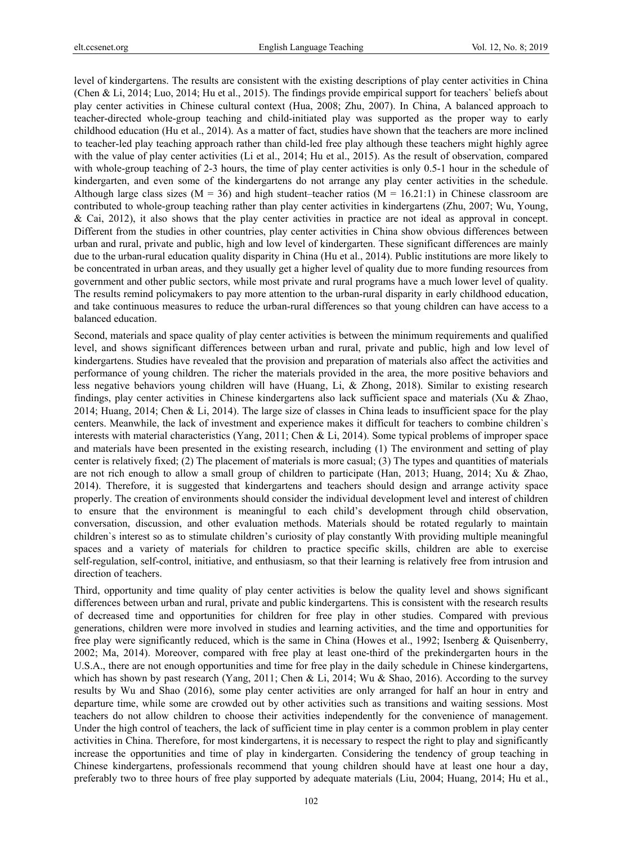level of kindergartens. The results are consistent with the existing descriptions of play center activities in China (Chen & Li, 2014; Luo, 2014; Hu et al., 2015). The findings provide empirical support for teachers` beliefs about play center activities in Chinese cultural context (Hua, 2008; Zhu, 2007). In China, A balanced approach to teacher-directed whole-group teaching and child-initiated play was supported as the proper way to early childhood education (Hu et al., 2014). As a matter of fact, studies have shown that the teachers are more inclined to teacher-led play teaching approach rather than child-led free play although these teachers might highly agree with the value of play center activities (Li et al., 2014; Hu et al., 2015). As the result of observation, compared with whole-group teaching of 2-3 hours, the time of play center activities is only 0.5-1 hour in the schedule of kindergarten, and even some of the kindergartens do not arrange any play center activities in the schedule. Although large class sizes ( $M = 36$ ) and high student–teacher ratios ( $M = 16.21:1$ ) in Chinese classroom are contributed to whole-group teaching rather than play center activities in kindergartens (Zhu, 2007; Wu, Young, & Cai, 2012), it also shows that the play center activities in practice are not ideal as approval in concept. Different from the studies in other countries, play center activities in China show obvious differences between urban and rural, private and public, high and low level of kindergarten. These significant differences are mainly due to the urban-rural education quality disparity in China (Hu et al., 2014). Public institutions are more likely to be concentrated in urban areas, and they usually get a higher level of quality due to more funding resources from government and other public sectors, while most private and rural programs have a much lower level of quality. The results remind policymakers to pay more attention to the urban-rural disparity in early childhood education, and take continuous measures to reduce the urban-rural differences so that young children can have access to a balanced education.

Second, materials and space quality of play center activities is between the minimum requirements and qualified level, and shows significant differences between urban and rural, private and public, high and low level of kindergartens. Studies have revealed that the provision and preparation of materials also affect the activities and performance of young children. The richer the materials provided in the area, the more positive behaviors and less negative behaviors young children will have (Huang, Li, & Zhong, 2018). Similar to existing research findings, play center activities in Chinese kindergartens also lack sufficient space and materials (Xu & Zhao, 2014; Huang, 2014; Chen & Li, 2014). The large size of classes in China leads to insufficient space for the play centers. Meanwhile, the lack of investment and experience makes it difficult for teachers to combine children`s interests with material characteristics (Yang, 2011; Chen & Li, 2014). Some typical problems of improper space and materials have been presented in the existing research, including (1) The environment and setting of play center is relatively fixed; (2) The placement of materials is more casual; (3) The types and quantities of materials are not rich enough to allow a small group of children to participate (Han, 2013; Huang, 2014; Xu & Zhao, 2014). Therefore, it is suggested that kindergartens and teachers should design and arrange activity space properly. The creation of environments should consider the individual development level and interest of children to ensure that the environment is meaningful to each child's development through child observation, conversation, discussion, and other evaluation methods. Materials should be rotated regularly to maintain children`s interest so as to stimulate children's curiosity of play constantly With providing multiple meaningful spaces and a variety of materials for children to practice specific skills, children are able to exercise self-regulation, self-control, initiative, and enthusiasm, so that their learning is relatively free from intrusion and direction of teachers.

Third, opportunity and time quality of play center activities is below the quality level and shows significant differences between urban and rural, private and public kindergartens. This is consistent with the research results of decreased time and opportunities for children for free play in other studies. Compared with previous generations, children were more involved in studies and learning activities, and the time and opportunities for free play were significantly reduced, which is the same in China (Howes et al., 1992; Isenberg & Quisenberry, 2002; Ma, 2014). Moreover, compared with free play at least one-third of the prekindergarten hours in the U.S.A., there are not enough opportunities and time for free play in the daily schedule in Chinese kindergartens, which has shown by past research (Yang, 2011; Chen & Li, 2014; Wu & Shao, 2016). According to the survey results by Wu and Shao (2016), some play center activities are only arranged for half an hour in entry and departure time, while some are crowded out by other activities such as transitions and waiting sessions. Most teachers do not allow children to choose their activities independently for the convenience of management. Under the high control of teachers, the lack of sufficient time in play center is a common problem in play center activities in China. Therefore, for most kindergartens, it is necessary to respect the right to play and significantly increase the opportunities and time of play in kindergarten. Considering the tendency of group teaching in Chinese kindergartens, professionals recommend that young children should have at least one hour a day, preferably two to three hours of free play supported by adequate materials (Liu, 2004; Huang, 2014; Hu et al.,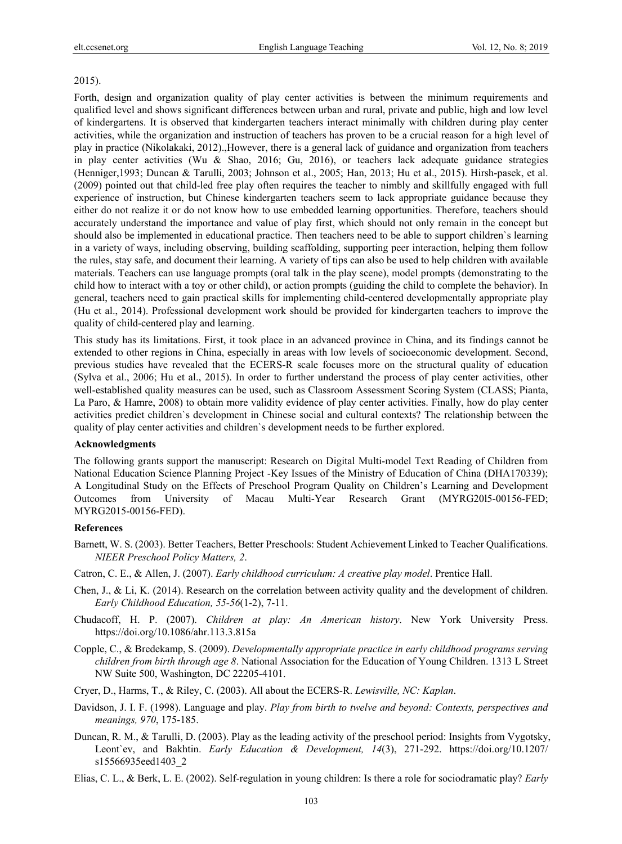#### 2015).

Forth, design and organization quality of play center activities is between the minimum requirements and qualified level and shows significant differences between urban and rural, private and public, high and low level of kindergartens. It is observed that kindergarten teachers interact minimally with children during play center activities, while the organization and instruction of teachers has proven to be a crucial reason for a high level of play in practice (Nikolakaki, 2012).,However, there is a general lack of guidance and organization from teachers in play center activities (Wu & Shao, 2016; Gu, 2016), or teachers lack adequate guidance strategies (Henniger,1993; Duncan & Tarulli, 2003; Johnson et al., 2005; Han, 2013; Hu et al., 2015). Hirsh-pasek, et al. (2009) pointed out that child-led free play often requires the teacher to nimbly and skillfully engaged with full experience of instruction, but Chinese kindergarten teachers seem to lack appropriate guidance because they either do not realize it or do not know how to use embedded learning opportunities. Therefore, teachers should accurately understand the importance and value of play first, which should not only remain in the concept but should also be implemented in educational practice. Then teachers need to be able to support children`s learning in a variety of ways, including observing, building scaffolding, supporting peer interaction, helping them follow the rules, stay safe, and document their learning. A variety of tips can also be used to help children with available materials. Teachers can use language prompts (oral talk in the play scene), model prompts (demonstrating to the child how to interact with a toy or other child), or action prompts (guiding the child to complete the behavior). In general, teachers need to gain practical skills for implementing child-centered developmentally appropriate play (Hu et al., 2014). Professional development work should be provided for kindergarten teachers to improve the quality of child-centered play and learning.

This study has its limitations. First, it took place in an advanced province in China, and its findings cannot be extended to other regions in China, especially in areas with low levels of socioeconomic development. Second, previous studies have revealed that the ECERS-R scale focuses more on the structural quality of education (Sylva et al., 2006; Hu et al., 2015). In order to further understand the process of play center activities, other well-established quality measures can be used, such as Classroom Assessment Scoring System (CLASS; Pianta, La Paro, & Hamre, 2008) to obtain more validity evidence of play center activities. Finally, how do play center activities predict children`s development in Chinese social and cultural contexts? The relationship between the quality of play center activities and children`s development needs to be further explored.

#### **Acknowledgments**

The following grants support the manuscript: Research on Digital Multi-model Text Reading of Children from National Education Science Planning Project -Key Issues of the Ministry of Education of China (DHA170339); A Longitudinal Study on the Effects of Preschool Program Quality on Children's Learning and Development Outcomes from University of Macau Multi-Year Research Grant (MYRG20l5-00156-FED; MYRG2015-00156-FED).

#### **References**

- Barnett, W. S. (2003). Better Teachers, Better Preschools: Student Achievement Linked to Teacher Qualifications. *NIEER Preschool Policy Matters, 2*.
- Catron, C. E., & Allen, J. (2007). *Early childhood curriculum: A creative play model*. Prentice Hall.
- Chen, J., & Li, K. (2014). Research on the correlation between activity quality and the development of children. *Early Childhood Education, 55-56*(1-2), 7-11.
- Chudacoff, H. P. (2007). *Children at play: An American history*. New York University Press. https://doi.org/10.1086/ahr.113.3.815a
- Copple, C., & Bredekamp, S. (2009). *Developmentally appropriate practice in early childhood programs serving children from birth through age 8*. National Association for the Education of Young Children. 1313 L Street NW Suite 500, Washington, DC 22205-4101.
- Cryer, D., Harms, T., & Riley, C. (2003). All about the ECERS-R. *Lewisville, NC: Kaplan*.
- Davidson, J. I. F. (1998). Language and play. *Play from birth to twelve and beyond: Contexts, perspectives and meanings, 970*, 175-185.
- Duncan, R. M., & Tarulli, D. (2003). Play as the leading activity of the preschool period: Insights from Vygotsky, Leont`ev, and Bakhtin. *Early Education & Development, 14*(3), 271-292. https://doi.org/10.1207/ s15566935eed1403\_2
- Elias, C. L., & Berk, L. E. (2002). Self-regulation in young children: Is there a role for sociodramatic play? *Early*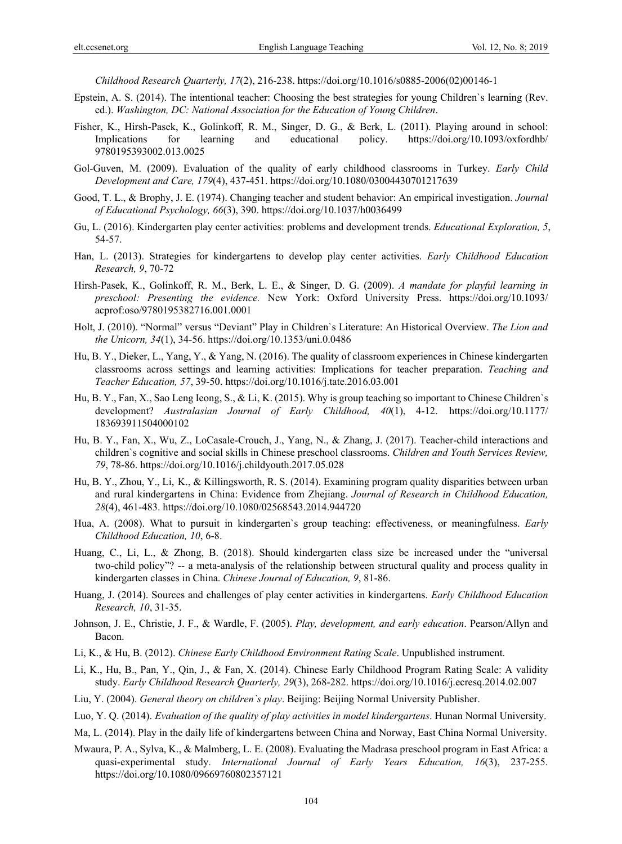*Childhood Research Quarterly, 17*(2), 216-238. https://doi.org/10.1016/s0885-2006(02)00146-1

- Epstein, A. S. (2014). The intentional teacher: Choosing the best strategies for young Children`s learning (Rev. ed.). *Washington, DC: National Association for the Education of Young Children*.
- Fisher, K., Hirsh-Pasek, K., Golinkoff, R. M., Singer, D. G., & Berk, L. (2011). Playing around in school: Implications for learning and educational policy. https://doi.org/10.1093/oxfordhb/ 9780195393002.013.0025
- Gol-Guven, M. (2009). Evaluation of the quality of early childhood classrooms in Turkey. *Early Child Development and Care, 179*(4), 437-451. https://doi.org/10.1080/03004430701217639
- Good, T. L., & Brophy, J. E. (1974). Changing teacher and student behavior: An empirical investigation. *Journal of Educational Psychology, 66*(3), 390. https://doi.org/10.1037/h0036499
- Gu, L. (2016). Kindergarten play center activities: problems and development trends. *Educational Exploration, 5*, 54-57.
- Han, L. (2013). Strategies for kindergartens to develop play center activities. *Early Childhood Education Research, 9*, 70-72
- Hirsh-Pasek, K., Golinkoff, R. M., Berk, L. E., & Singer, D. G. (2009). *A mandate for playful learning in preschool: Presenting the evidence.* New York: Oxford University Press. https://doi.org/10.1093/ acprof:oso/9780195382716.001.0001
- Holt, J. (2010). "Normal" versus "Deviant" Play in Children`s Literature: An Historical Overview. *The Lion and the Unicorn, 34*(1), 34-56. https://doi.org/10.1353/uni.0.0486
- Hu, B. Y., Dieker, L., Yang, Y., & Yang, N. (2016). The quality of classroom experiences in Chinese kindergarten classrooms across settings and learning activities: Implications for teacher preparation. *Teaching and Teacher Education, 57*, 39-50. https://doi.org/10.1016/j.tate.2016.03.001
- Hu, B. Y., Fan, X., Sao Leng Ieong, S., & Li, K. (2015). Why is group teaching so important to Chinese Children`s development? *Australasian Journal of Early Childhood, 40*(1), 4-12. https://doi.org/10.1177/ 183693911504000102
- Hu, B. Y., Fan, X., Wu, Z., LoCasale-Crouch, J., Yang, N., & Zhang, J. (2017). Teacher-child interactions and children`s cognitive and social skills in Chinese preschool classrooms. *Children and Youth Services Review, 79*, 78-86. https://doi.org/10.1016/j.childyouth.2017.05.028
- Hu, B. Y., Zhou, Y., Li, K., & Killingsworth, R. S. (2014). Examining program quality disparities between urban and rural kindergartens in China: Evidence from Zhejiang. *Journal of Research in Childhood Education, 28*(4), 461-483. https://doi.org/10.1080/02568543.2014.944720
- Hua, A. (2008). What to pursuit in kindergarten`s group teaching: effectiveness, or meaningfulness. *Early Childhood Education, 10*, 6-8.
- Huang, C., Li, L., & Zhong, B. (2018). Should kindergarten class size be increased under the "universal two-child policy"? -- a meta-analysis of the relationship between structural quality and process quality in kindergarten classes in China. *Chinese Journal of Education, 9*, 81-86.
- Huang, J. (2014). Sources and challenges of play center activities in kindergartens. *Early Childhood Education Research, 10*, 31-35.
- Johnson, J. E., Christie, J. F., & Wardle, F. (2005). *Play, development, and early education*. Pearson/Allyn and Bacon.
- Li, K., & Hu, B. (2012). *Chinese Early Childhood Environment Rating Scale*. Unpublished instrument.
- Li, K., Hu, B., Pan, Y., Qin, J., & Fan, X. (2014). Chinese Early Childhood Program Rating Scale: A validity study. *Early Childhood Research Quarterly, 29*(3), 268-282. https://doi.org/10.1016/j.ecresq.2014.02.007
- Liu, Y. (2004). *General theory on children`s play*. Beijing: Beijing Normal University Publisher.
- Luo, Y. Q. (2014). *Evaluation of the quality of play activities in model kindergartens*. Hunan Normal University.
- Ma, L. (2014). Play in the daily life of kindergartens between China and Norway, East China Normal University.
- Mwaura, P. A., Sylva, K., & Malmberg, L. E. (2008). Evaluating the Madrasa preschool program in East Africa: a quasi‐experimental study. *International Journal of Early Years Education, 16*(3), 237-255. https://doi.org/10.1080/09669760802357121